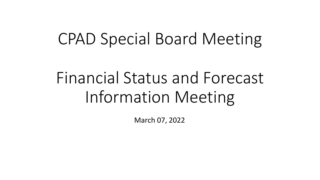## CPAD Special Board Meeting

# Financial Status and Forecast Information Meeting

March 07, 2022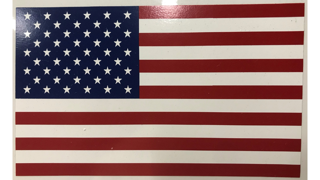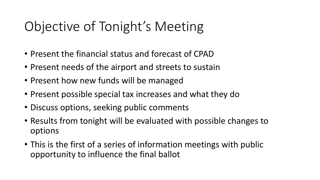## Objective of Tonight's Meeting

- Present the financial status and forecast of CPAD
- Present needs of the airport and streets to sustain
- Present how new funds will be managed
- Present possible special tax increases and what they do
- Discuss options, seeking public comments
- Results from tonight will be evaluated with possible changes to options
- This is the first of a series of information meetings with public opportunity to influence the final ballot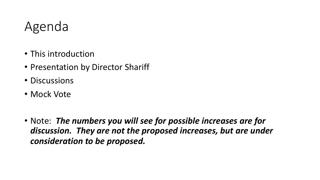#### Agenda

- This introduction
- Presentation by Director Shariff
- Discussions
- Mock Vote
- Note: *The numbers you will see for possible increases are for discussion. They are not the proposed increases, but are under consideration to be proposed.*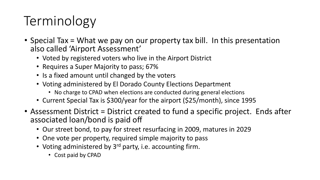## Terminology

- Special Tax = What we pay on our property tax bill. In this presentation also called 'Airport Assessment'
	- Voted by registered voters who live in the Airport District
	- Requires a Super Majority to pass; 67%
	- Is a fixed amount until changed by the voters
	- Voting administered by El Dorado County Elections Department
		- No charge to CPAD when elections are conducted during general elections
	- Current Special Tax is \$300/year for the airport (\$25/month), since 1995
- Assessment District = District created to fund a specific project. Ends after associated loan/bond is paid off
	- Our street bond, to pay for street resurfacing in 2009, matures in 2029
	- One vote per property, required simple majority to pass
	- Voting administered by  $3<sup>rd</sup>$  party, i.e. accounting firm.
		- Cost paid by CPAD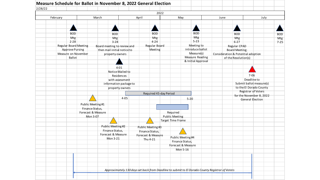| 2/28/22 |                                      |                        |                 |                    |  |                        |                             |                                                                                                 | 2022          |                                |                   |                      |                                    |                                                 |  |                |             |                          |  |  |
|---------|--------------------------------------|------------------------|-----------------|--------------------|--|------------------------|-----------------------------|-------------------------------------------------------------------------------------------------|---------------|--------------------------------|-------------------|----------------------|------------------------------------|-------------------------------------------------|--|----------------|-------------|--------------------------|--|--|
|         |                                      |                        |                 |                    |  |                        |                             |                                                                                                 |               |                                |                   |                      |                                    |                                                 |  |                |             |                          |  |  |
|         | February                             |                        | March           |                    |  |                        | April                       |                                                                                                 |               | May                            |                   |                      |                                    | June                                            |  |                | July        |                          |  |  |
|         |                                      |                        |                 |                    |  |                        |                             |                                                                                                 |               |                                |                   |                      |                                    |                                                 |  |                |             |                          |  |  |
|         |                                      |                        |                 |                    |  |                        |                             |                                                                                                 |               |                                |                   |                      |                                    |                                                 |  |                |             |                          |  |  |
|         |                                      | <b>BOD</b>             |                 |                    |  | <b>BOD</b>             |                             |                                                                                                 | <b>BOD</b>    |                                |                   | <b>BOD</b>           |                                    |                                                 |  | <b>BOD</b>     |             |                          |  |  |
|         |                                      | Mtg                    |                 |                    |  | Mtg                    |                             |                                                                                                 | Mtg           |                                |                   | Mtg                  |                                    |                                                 |  | Mtg            |             |                          |  |  |
|         |                                      | $2 - 28$               |                 |                    |  | $3 - 28$               |                             |                                                                                                 | $4 - 24$      |                                |                   | $5 - 23$             |                                    |                                                 |  | $6 - 27$       |             |                          |  |  |
|         | Regular Board Meeting                |                        |                 |                    |  |                        | Board meeting to review and |                                                                                                 | Regular Board |                                |                   | Meeting to           |                                    |                                                 |  | Regular CPAD   |             |                          |  |  |
|         |                                      | <b>Approve Pursing</b> |                 |                    |  |                        | then mail initial notice to |                                                                                                 | Meeting       |                                |                   | introduce ballot     |                                    |                                                 |  | Board Meeting; |             |                          |  |  |
|         | Measure on November<br><b>Ballot</b> |                        | property owners |                    |  |                        |                             |                                                                                                 |               |                                | Measure(s)        |                      | Consideration & Potential adoption |                                                 |  |                |             |                          |  |  |
|         |                                      |                        |                 |                    |  |                        |                             |                                                                                                 |               | Measure Reading                |                   | of the Resolution(s) |                                    |                                                 |  |                |             |                          |  |  |
|         |                                      |                        |                 |                    |  |                        |                             |                                                                                                 |               |                                |                   | & Initial Approval   |                                    |                                                 |  |                |             |                          |  |  |
|         |                                      |                        |                 |                    |  |                        |                             |                                                                                                 |               |                                |                   |                      |                                    |                                                 |  |                |             |                          |  |  |
|         |                                      |                        |                 |                    |  | $4 - 01$               |                             |                                                                                                 |               |                                |                   |                      |                                    |                                                 |  |                |             |                          |  |  |
|         |                                      |                        |                 |                    |  |                        | Notice Mailed to            |                                                                                                 |               |                                |                   |                      |                                    |                                                 |  |                |             |                          |  |  |
|         |                                      |                        |                 |                    |  | Residences             |                             |                                                                                                 |               |                                |                   |                      |                                    |                                                 |  |                | $7 - 06$    |                          |  |  |
|         |                                      |                        |                 |                    |  |                        | with assessment             |                                                                                                 |               |                                |                   |                      |                                    |                                                 |  |                | Deadline to |                          |  |  |
|         |                                      |                        |                 |                    |  |                        | information package to      |                                                                                                 |               |                                |                   |                      |                                    |                                                 |  |                |             | Submit ballot measure(s) |  |  |
|         |                                      |                        |                 |                    |  |                        | property owners             |                                                                                                 |               |                                |                   |                      |                                    |                                                 |  |                |             | to the El Dorado County  |  |  |
|         |                                      |                        |                 |                    |  | Required 45-day Period |                             |                                                                                                 |               |                                |                   |                      |                                    | Registrar of Voters<br>for the November 8, 2022 |  |                |             |                          |  |  |
|         |                                      |                        |                 |                    |  |                        | $4 - 05$                    |                                                                                                 |               |                                | $5 - 20$          |                      |                                    |                                                 |  |                |             | <b>General Election</b>  |  |  |
|         |                                      |                        |                 |                    |  |                        |                             |                                                                                                 |               |                                |                   |                      |                                    |                                                 |  |                |             |                          |  |  |
|         |                                      |                        |                 | Public Meeting #1  |  |                        |                             |                                                                                                 |               |                                |                   |                      |                                    |                                                 |  |                |             |                          |  |  |
|         |                                      |                        |                 | Finance Status,    |  |                        |                             |                                                                                                 |               |                                |                   |                      |                                    |                                                 |  |                |             |                          |  |  |
|         |                                      |                        |                 | Forecast & Measure |  |                        |                             |                                                                                                 |               | Required                       |                   |                      |                                    |                                                 |  |                |             |                          |  |  |
|         |                                      |                        |                 | Mon 3-07           |  |                        |                             |                                                                                                 |               | Public Meeting                 |                   |                      |                                    |                                                 |  |                |             |                          |  |  |
|         |                                      |                        |                 |                    |  |                        |                             |                                                                                                 |               | Target Time Frame              |                   |                      |                                    |                                                 |  |                |             |                          |  |  |
|         |                                      |                        |                 |                    |  | Public Meeting #2      |                             | Public Meeting #3                                                                               |               |                                |                   |                      |                                    |                                                 |  |                |             |                          |  |  |
|         |                                      |                        |                 |                    |  | Finance Status,        |                             | Finance Status,                                                                                 |               |                                |                   |                      |                                    |                                                 |  |                |             |                          |  |  |
|         |                                      |                        |                 |                    |  | Forecast & Measure     |                             | Forecast & Measure                                                                              |               |                                |                   |                      |                                    |                                                 |  |                |             |                          |  |  |
|         |                                      |                        |                 |                    |  | Mon 3-21               |                             | Thu 4-21                                                                                        |               |                                | Public Meeting #4 |                      |                                    |                                                 |  |                |             |                          |  |  |
|         |                                      |                        |                 |                    |  |                        |                             |                                                                                                 |               | Finance Status,                |                   |                      |                                    |                                                 |  |                |             |                          |  |  |
|         |                                      |                        |                 |                    |  |                        |                             |                                                                                                 |               | Forecast & Measure<br>Mon 5-16 |                   |                      |                                    |                                                 |  |                |             |                          |  |  |
|         |                                      |                        |                 |                    |  |                        |                             |                                                                                                 |               |                                |                   |                      |                                    |                                                 |  |                |             |                          |  |  |
|         |                                      |                        |                 |                    |  |                        |                             |                                                                                                 |               |                                |                   |                      |                                    |                                                 |  |                |             |                          |  |  |
|         |                                      |                        |                 |                    |  |                        |                             |                                                                                                 |               |                                |                   |                      |                                    |                                                 |  |                |             |                          |  |  |
|         |                                      |                        |                 |                    |  |                        |                             |                                                                                                 |               |                                |                   |                      |                                    |                                                 |  |                |             |                          |  |  |
|         |                                      |                        |                 |                    |  |                        |                             |                                                                                                 |               |                                |                   |                      |                                    |                                                 |  |                |             |                          |  |  |
|         |                                      |                        |                 |                    |  |                        |                             | Approximately 130 days set back from Deadline to submit to El Dorado County Registrar of Voters |               |                                |                   |                      |                                    |                                                 |  |                |             |                          |  |  |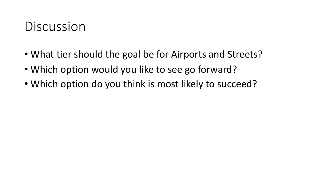#### Discussion

- What tier should the goal be for Airports and Streets?
- Which option would you like to see go forward?
- Which option do you think is most likely to succeed?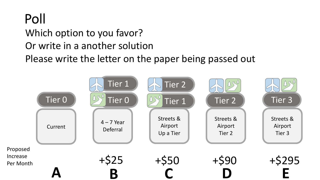### Poll

Which option to you favor?

Or write in a another solution

Please write the letter on the paper being passed out